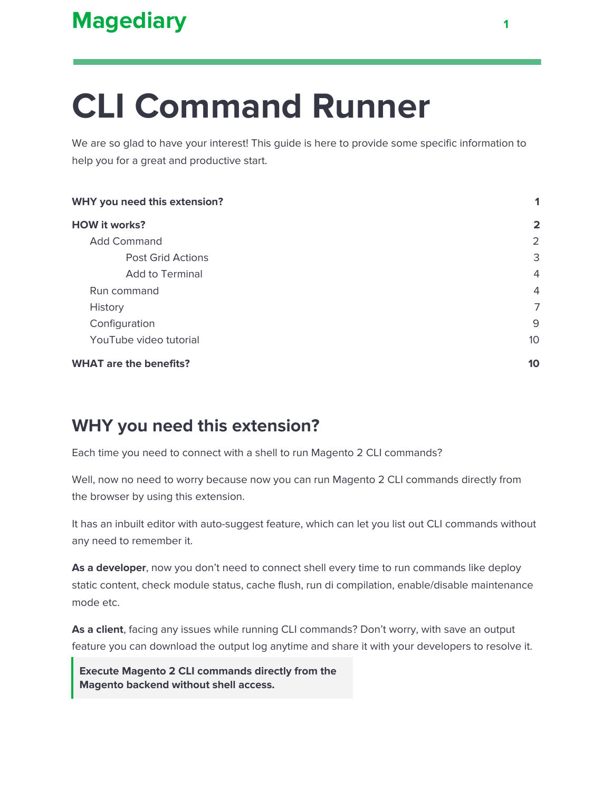# **CLI Command Runner**

We are so glad to have your interest! This guide is here to provide some specific information to help you for a great and productive start.

| WHY you need this extension?  |                |
|-------------------------------|----------------|
| <b>HOW it works?</b>          | $\overline{2}$ |
| <b>Add Command</b>            | 2              |
| <b>Post Grid Actions</b>      | 3              |
| <b>Add to Terminal</b>        | 4              |
| Run command                   | 4              |
| History                       | 7              |
| Configuration                 | 9              |
| YouTube video tutorial        | 10             |
| <b>WHAT are the benefits?</b> | 10             |

# <span id="page-0-0"></span>**WHY you need this extension?**

Each time you need to connect with a shell to run Magento 2 CLI commands?

Well, now no need to worry because now you can run Magento 2 CLI commands directly from the browser by using this extension.

It has an inbuilt editor with auto-suggest feature, which can let you list out CLI commands without any need to remember it.

**As a developer**, now you don't need to connect shell every time to run commands like deploy static content, check module status, cache flush, run di compilation, enable/disable maintenance mode etc.

**As a client**, facing any issues while running CLI commands? Don't worry, with save an output feature you can download the output log anytime and share it with your developers to resolve it.

**Execute Magento 2 CLI commands directly from the Magento backend without shell access.**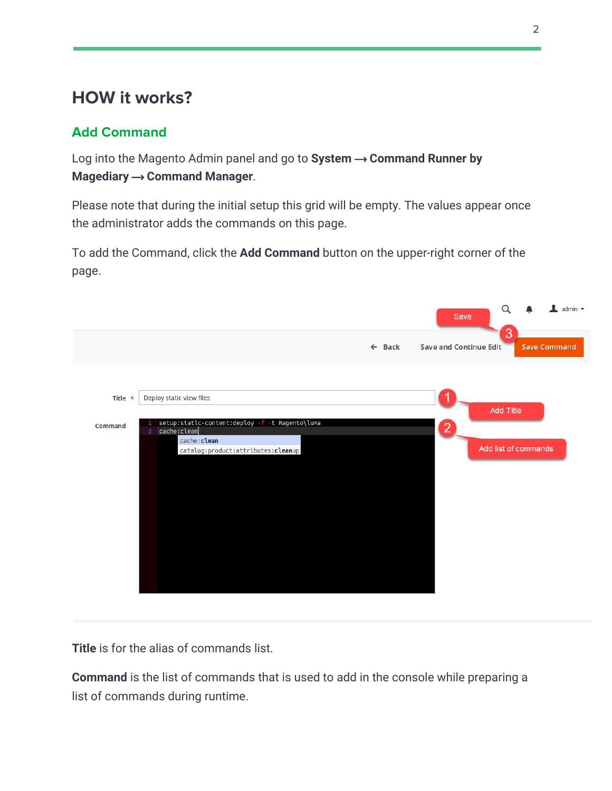# <span id="page-1-0"></span>**HOW it works?**

## <span id="page-1-1"></span>**Add Command**

Log into the Magento Admin panel and go to System → Command Runner by **Magediary → Command Manager.** 

Please note that during the initial setup this grid will be empty. The values appear once the administrator adds the commands on this page.

To add the Command, click the **Add Command** button on the upper-right corner of the page.

|                                                                                          | $\alpha$<br>admin v<br>Save<br>3                                          |
|------------------------------------------------------------------------------------------|---------------------------------------------------------------------------|
|                                                                                          | <b>Save and Continue Edit</b><br>$\leftarrow$ Back<br><b>Save Command</b> |
|                                                                                          |                                                                           |
| Deploy static view files<br>Title *                                                      | <b>Add Title</b>                                                          |
| setup:static-content:deploy -f -t Magento\luma<br>Command<br>cache:clean<br>$\mathbf{2}$ | $\overline{2}$                                                            |
| cache: clean<br>catalog:product:attributes:cleanup                                       | Add list of commands                                                      |
|                                                                                          |                                                                           |
|                                                                                          |                                                                           |
|                                                                                          |                                                                           |
|                                                                                          |                                                                           |
|                                                                                          |                                                                           |
|                                                                                          |                                                                           |
|                                                                                          |                                                                           |

**Title** is for the alias of commands list.

**Command** is the list of commands that is used to add in the console while preparing a list of commands during runtime.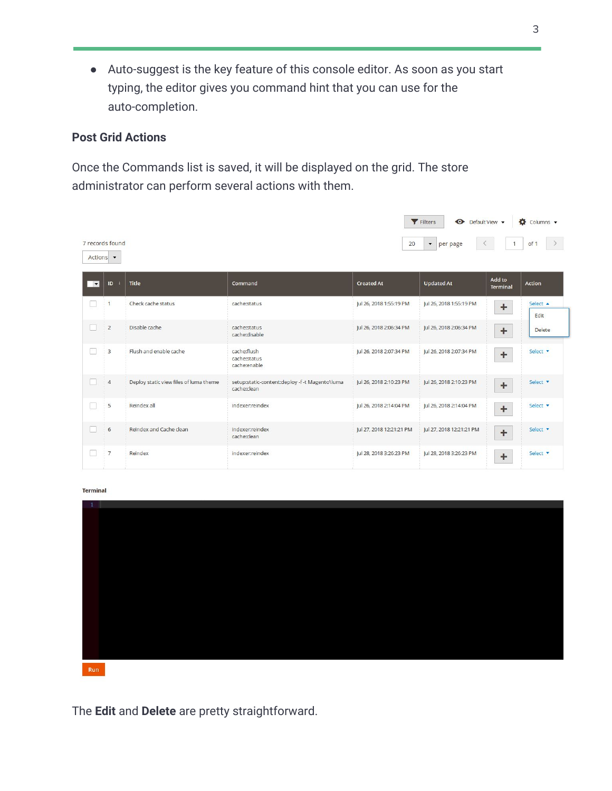● Auto-suggest is the key feature of this console editor. As soon as you start typing, the editor gives you command hint that you can use for the auto-completion.

#### <span id="page-2-0"></span>**Post Grid Actions**

Once the Commands list is saved, it will be displayed on the grid. The store administrator can perform several actions with them.

|                          |                 |                                        |                                                               |                          | Filters<br>Default View -                                        |                           | $\bullet$ Columns $\bullet$ |
|--------------------------|-----------------|----------------------------------------|---------------------------------------------------------------|--------------------------|------------------------------------------------------------------|---------------------------|-----------------------------|
|                          | 7 records found |                                        |                                                               | 20                       | $\blacktriangledown$<br>per page<br>$\left\langle \right\rangle$ | $\mathbf{1}$              | of 1                        |
| Actions $\bullet$        |                 |                                        |                                                               |                          |                                                                  |                           |                             |
| $\overline{\phantom{a}}$ | ID <sub>1</sub> | <b>Title</b>                           | Command                                                       | <b>Created At</b>        | <b>Updated At</b>                                                | Add to<br><b>Terminal</b> | Action                      |
|                          | 1               | Check cache status                     | cache:status                                                  | Jul 26, 2018 1:55:19 PM  | Jul 26, 2018 1:55:19 PM                                          | $\ddot{}$                 | Select $\triangle$<br>Edit  |
|                          | $\overline{2}$  | Disable cache                          | cache:status<br>cache:disable                                 | Jul 26, 2018 2:06:34 PM  | Jul 26, 2018 2:06:34 PM                                          | ٠                         | <b>Delete</b>               |
| n                        | $\overline{3}$  | Flush and enable cache                 | cache:flush<br>cache:status<br>cache:enable                   | Jul 26, 2018 2:07:34 PM  | Jul 26, 2018 2:07:34 PM                                          | $\ddot{}$                 | Select <b>v</b>             |
|                          | $\overline{4}$  | Deploy static view files of luma theme | setup:static-content:deploy -f -t Magento\luma<br>cache:clean | Jul 26, 2018 2:10:23 PM  | Jul 26, 2018 2:10:23 PM                                          | $\ddot{}$                 | Select <b>v</b>             |
| ш                        | 5               | Reindex all                            | indexer:reindex                                               | Jul 26, 2018 2:14:04 PM  | Jul 26, 2018 2:14:04 PM                                          | ÷                         | Select v                    |
|                          | 6               | Reindex and Cache clean                | indexer:reindex<br>cache:clean                                | Jul 27, 2018 12:21:21 PM | Jul 27, 2018 12:21:21 PM                                         | $\ddot{}$                 | Select <b>v</b>             |
| r.                       | $\overline{7}$  | Reindex                                | indexer:reindex                                               | Jul 28, 2018 3:26:23 PM  | Jul 28, 2018 3:26:23 PM                                          | ٠                         | Select <b>v</b>             |

**Terminal** 



The **Edit** and **Delete** are pretty straightforward.

The same

The present and the company of the present and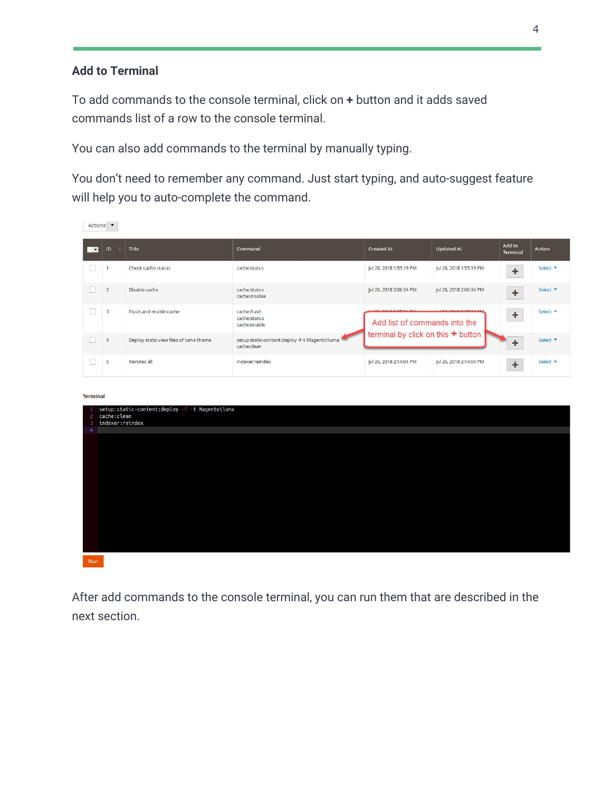#### <span id="page-3-0"></span>**Add to Terminal**

To add commands to the console terminal, click on **+** button and it adds saved commands list of a row to the console terminal.

You can also add commands to the terminal by manually typing.

You don't need to remember any command. Just start typing, and auto-suggest feature will help you to auto-complete the command.

| Add to<br><b>Updated At</b><br>ID<br><b>Title</b><br>Command<br><b>Created At</b><br><b>Action</b><br>□▼<br>$\sqrt{1}$<br>Terminal<br>Jul 26, 2018 1:55:19 PM<br>Jul 26, 2018 1:55:19 PM<br>$\mathbf{1}$<br>Check cache status<br>cache:status<br>Select <b>v</b><br>$\ddagger$<br>n<br>$\overline{2}$<br>Disable cache<br>cache:status<br>Jul 26, 2018 2:06:34 PM<br>Select <b>v</b><br>Jul 26, 2018 2:06:34 PM<br>$\begin{array}{c} + \end{array}$<br>cache:disable<br>cache:flush<br>3<br>Flush and enable cache<br>L.<br>Select <b>v</b><br>÷<br>cache:status<br>Add list of commands into the<br>cache:enable<br>terminal by click on this + button<br>setup:static-content:deploy -f -t Magento\luma<br>Deploy static view files of luma theme<br>H<br>$\overline{4}$<br>Select <b>v</b><br>÷<br>cache:clean<br>5<br>Reindex all<br>indexer:reindex<br>Jul 26, 2018 2:14:04 PM<br>Jul 26, 2018 2:14:04 PM<br>Select <b>v</b><br>$\mathbf{L}$<br>÷<br><b>Terminal</b><br>setup:static-content:deploy -f -t Magento\luma<br>л.<br>cache:clean<br>$2 -$<br>indexer:reindex<br>3<br>$\overline{4}$ | Actions $\bullet$ |  |  |  |
|------------------------------------------------------------------------------------------------------------------------------------------------------------------------------------------------------------------------------------------------------------------------------------------------------------------------------------------------------------------------------------------------------------------------------------------------------------------------------------------------------------------------------------------------------------------------------------------------------------------------------------------------------------------------------------------------------------------------------------------------------------------------------------------------------------------------------------------------------------------------------------------------------------------------------------------------------------------------------------------------------------------------------------------------------------------------------------------------------|-------------------|--|--|--|
|                                                                                                                                                                                                                                                                                                                                                                                                                                                                                                                                                                                                                                                                                                                                                                                                                                                                                                                                                                                                                                                                                                      |                   |  |  |  |
|                                                                                                                                                                                                                                                                                                                                                                                                                                                                                                                                                                                                                                                                                                                                                                                                                                                                                                                                                                                                                                                                                                      |                   |  |  |  |
|                                                                                                                                                                                                                                                                                                                                                                                                                                                                                                                                                                                                                                                                                                                                                                                                                                                                                                                                                                                                                                                                                                      |                   |  |  |  |
|                                                                                                                                                                                                                                                                                                                                                                                                                                                                                                                                                                                                                                                                                                                                                                                                                                                                                                                                                                                                                                                                                                      |                   |  |  |  |
|                                                                                                                                                                                                                                                                                                                                                                                                                                                                                                                                                                                                                                                                                                                                                                                                                                                                                                                                                                                                                                                                                                      |                   |  |  |  |
|                                                                                                                                                                                                                                                                                                                                                                                                                                                                                                                                                                                                                                                                                                                                                                                                                                                                                                                                                                                                                                                                                                      |                   |  |  |  |
|                                                                                                                                                                                                                                                                                                                                                                                                                                                                                                                                                                                                                                                                                                                                                                                                                                                                                                                                                                                                                                                                                                      |                   |  |  |  |
| <b>Run</b>                                                                                                                                                                                                                                                                                                                                                                                                                                                                                                                                                                                                                                                                                                                                                                                                                                                                                                                                                                                                                                                                                           |                   |  |  |  |

<span id="page-3-1"></span>After add commands to the console terminal, you can run them that are described in the next section.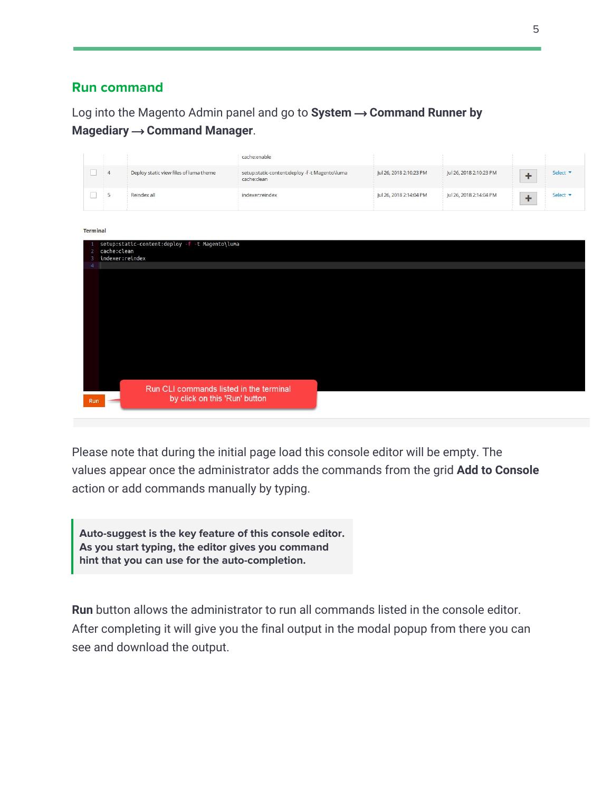#### **Run command**

Log into the Magento Admin panel and go to System → Command Runner by **Magediary → Command Manager.** 

|                     |                                |                                                                          | cache:enable                                                  |                         |                         |                      |                 |
|---------------------|--------------------------------|--------------------------------------------------------------------------|---------------------------------------------------------------|-------------------------|-------------------------|----------------------|-----------------|
| П                   | $\overline{4}$                 | Deploy static view files of luma theme                                   | setup:static-content:deploy -f -t Magento\luma<br>cache:clean | Jul 26, 2018 2:10:23 PM | Jul 26, 2018 2:10:23 PM | $\ddot{\phantom{1}}$ | Select <b>v</b> |
| П                   | 5                              | Reindex all                                                              | indexer:reindex                                               | Jul 26, 2018 2:14:04 PM | Jul 26, 2018 2:14:04 PM | $\ddot{}$            | Select v        |
| <b>Terminal</b>     |                                |                                                                          |                                                               |                         |                         |                      |                 |
| $\overline{2}$<br>Е | cache:clean<br>indexer:reindex | setup:static-content:deploy -f -t Magento\luma                           |                                                               |                         |                         |                      |                 |
|                     |                                |                                                                          |                                                               |                         |                         |                      |                 |
|                     |                                |                                                                          |                                                               |                         |                         |                      |                 |
|                     |                                |                                                                          |                                                               |                         |                         |                      |                 |
|                     |                                |                                                                          |                                                               |                         |                         |                      |                 |
|                     |                                |                                                                          |                                                               |                         |                         |                      |                 |
|                     |                                |                                                                          |                                                               |                         |                         |                      |                 |
|                     |                                |                                                                          |                                                               |                         |                         |                      |                 |
| <b>Run</b>          |                                | Run CLI commands listed in the terminal<br>by click on this 'Run' button |                                                               |                         |                         |                      |                 |

Please note that during the initial page load this console editor will be empty. The values appear once the administrator adds the commands from the grid **Add to Console** action or add commands manually by typing.

**Auto-suggest is the key feature of this console editor. As you start typing, the editor gives you command hint that you can use for the auto-completion.**

**Run** button allows the administrator to run all commands listed in the console editor. After completing it will give you the final output in the modal popup from there you can see and download the output.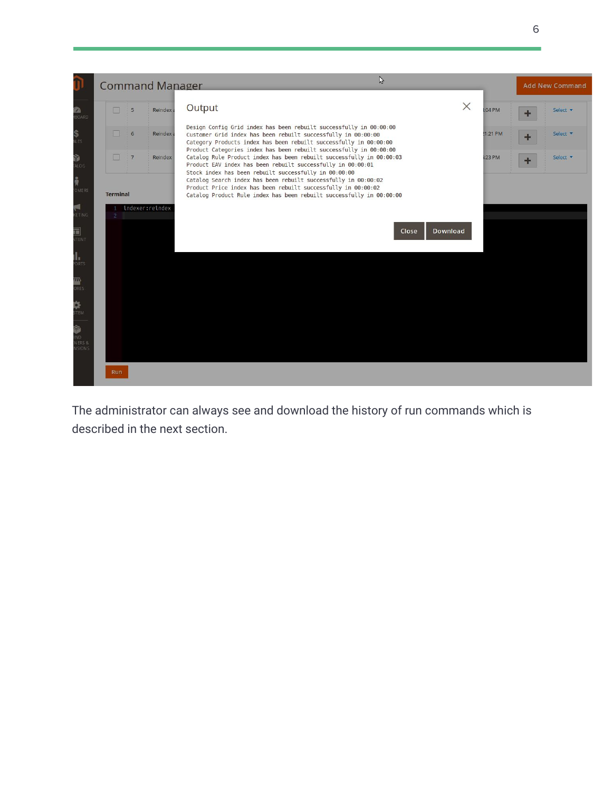

The administrator can always see and download the history of run commands which is described in the next section.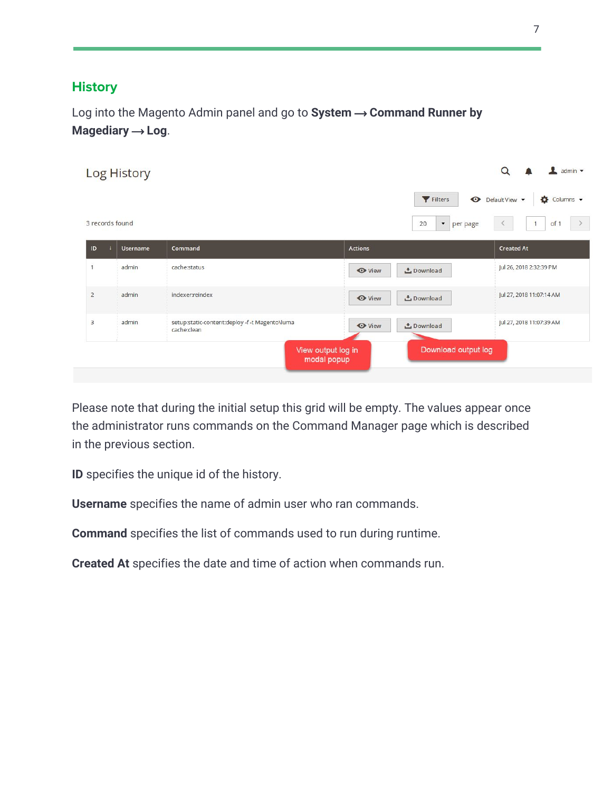### <span id="page-6-0"></span>**History**

Log into the Magento Admin panel and go to System → Command Runner by **Magediary → Log.** 

|                 | Log History     |                                                               |                                                          | $\frac{1}{2}$ admin $\sqrt{ }$<br>Q                                 |
|-----------------|-----------------|---------------------------------------------------------------|----------------------------------------------------------|---------------------------------------------------------------------|
| 3 records found |                 |                                                               | Filters<br>20<br>per page<br>Y                           | Default View v<br>Columns v<br>of 1<br>$\rightarrow$<br>1<br>$\leq$ |
| ID              | <b>Username</b> | Command                                                       | <b>Actions</b>                                           | <b>Created At</b>                                                   |
| 1               | admin           | cache:status                                                  | <b>O</b> View<br>Download                                | Jul 26, 2018 2:32:39 PM                                             |
| $\overline{2}$  | admin           | indexer:reindex                                               | <b>←</b> View<br><b>こ</b> Download                       | Jul 27, 2018 11:07:14 AM                                            |
| $\overline{3}$  | admin           | setup:static-content:deploy -f -t Magento\luma<br>cache:clean | <b>O</b> View<br>Download                                | Jul 27, 2018 11:07:39 AM                                            |
|                 |                 |                                                               | Download output log<br>View output log in<br>modal popup |                                                                     |

Please note that during the initial setup this grid will be empty. The values appear once the administrator runs commands on the Command Manager page which is described in the previous section.

**ID** specifies the unique id of the history.

**Username** specifies the name of admin user who ran commands.

**Command** specifies the list of commands used to run during runtime.

**Created At** specifies the date and time of action when commands run.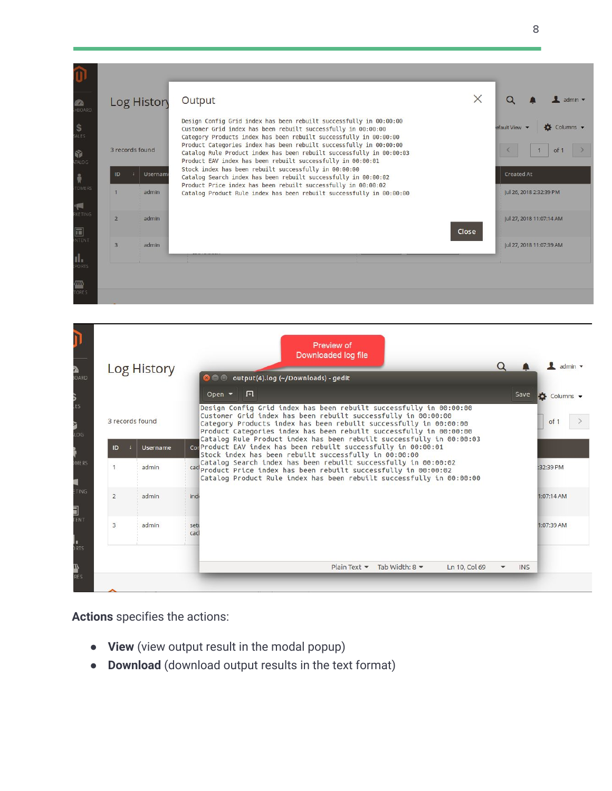| <b>RA</b><br>HBOARD       | Log Histon      |          | Output                                                                                                                                                                                                    | X     |                          | $admin$ $\star$ |
|---------------------------|-----------------|----------|-----------------------------------------------------------------------------------------------------------------------------------------------------------------------------------------------------------|-------|--------------------------|-----------------|
| $S_{ALES}$                |                 |          | Design Config Grid index has been rebuilt successfully in 00:00:00<br>Customer Grid index has been rebuilt successfully in 00:00:00<br>Category Products index has been rebuilt successfully in 00:00:00  |       | efault View              | Columns v       |
| 命<br>TALOG                | 3 records found |          | Product Categories index has been rebuilt successfully in 00:00:00<br>Catalog Rule Product index has been rebuilt successfully in 00:00:03<br>Product EAV index has been rebuilt successfully in 00:00:01 |       |                          | of 1            |
| 请<br><b>TOMERS</b>        | ID              | Username | Stock index has been rebuilt successfully in 00:00:00<br>Catalog Search index has been rebuilt successfully in 00:00:02<br>Product Price index has been rebuilt successfully in 00:00:02                  |       | <b>Created At</b>        |                 |
| $\blacksquare$            |                 | admin    | Catalog Product Rule index has been rebuilt successfully in 00:00:00                                                                                                                                      |       | Jul 26, 2018 2:32:39 PM  |                 |
| <b>IKE TING</b><br>$\Box$ | $\overline{2}$  | admin    |                                                                                                                                                                                                           | Close | Jul 27, 2018 11:07:14 AM |                 |
| NTENT<br>ıl.              | $\overline{3}$  | admin    |                                                                                                                                                                                                           |       | Jul 27, 2018 11:07:39 AM |                 |
| <b>PORTS</b>              |                 |          |                                                                                                                                                                                                           |       |                          |                 |
| ∕m<br><b>TORES</b>        |                 |          |                                                                                                                                                                                                           |       |                          |                 |

| <b>Log History</b> |                       | <b>O</b> $\oplus$ output(4).log (~/Downloads) - gedit                                                                                                                                                                                                                                                                                                  |      | admin $\sqrt{*}$ |
|--------------------|-----------------------|--------------------------------------------------------------------------------------------------------------------------------------------------------------------------------------------------------------------------------------------------------------------------------------------------------------------------------------------------------|------|------------------|
|                    |                       | 匝<br>Open $\blacktriangledown$                                                                                                                                                                                                                                                                                                                         | Save | Columns v        |
| 3 records found    |                       | Design Config Grid index has been rebuilt successfully in 00:00:00<br>Customer Grid index has been rebuilt successfully in 00:00:00<br>Category Products index has been rebuilt successfully in 00:00:00<br>Product Categories index has been rebuilt successfully in 00:00:00<br>Catalog Rule Product index has been rebuilt successfully in 00:00:03 |      | of 1             |
| ID                 | <b>Username</b>       | corProduct EAV index has been rebuilt successfully in 00:00:01<br>Stock index has been rebuilt successfully in 00:00:00                                                                                                                                                                                                                                |      |                  |
|                    | admin                 | Catalog Search index has been rebuilt successfully in 00:00:02<br>cad Product Price index has been rebuilt successfully in 00:00:02<br>Catalog Product Rule index has been rebuilt successfully in 00:00:00                                                                                                                                            |      | :32:39 PM        |
| $\overline{2}$     | admin<br>indi         |                                                                                                                                                                                                                                                                                                                                                        |      | 1:07:14 AM       |
| $\overline{3}$     | admin<br>sett<br>cacl |                                                                                                                                                                                                                                                                                                                                                        |      | 1:07:39 AM       |
|                    |                       |                                                                                                                                                                                                                                                                                                                                                        |      |                  |

**Actions** specifies the actions:

- **● View** (view output result in the modal popup)
- **● Download** (download output results in the text format)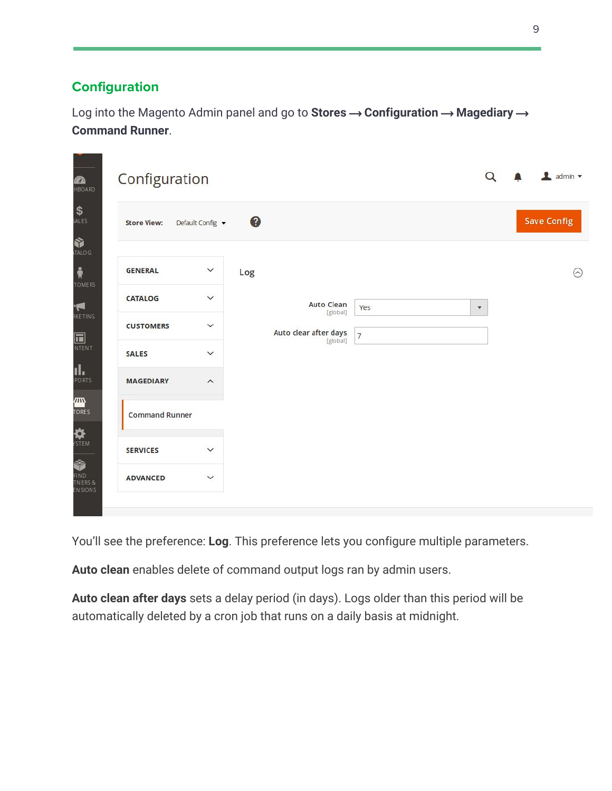## <span id="page-8-0"></span>**Configuration**

Log into the Magento Admin panel and go to **Stores**  $\rightarrow$  **Configuration**  $\rightarrow$  **Magediary**  $\rightarrow$ **Command Runner**.

| Configuration         |                         |                               |                | $\alpha$           | $\Box$ admin $\blacktriangledown$ |
|-----------------------|-------------------------|-------------------------------|----------------|--------------------|-----------------------------------|
| <b>Store View:</b>    | Default Config v        | $\bullet$                     |                |                    | <b>Save Config</b>                |
| <b>GENERAL</b>        | $\checkmark$<br>Log     |                               |                |                    |                                   |
| <b>CATALOG</b>        | $\checkmark$            | <b>Auto Clean</b><br>[global] | Yes            | $\pmb{\mathrm{v}}$ |                                   |
| <b>CUSTOMERS</b>      | $\checkmark$            | Auto clear after days         | $\overline{7}$ |                    |                                   |
| <b>SALES</b>          | $\checkmark$            | [global]                      |                |                    |                                   |
| <b>MAGEDIARY</b>      | $\widehat{\phantom{0}}$ |                               |                |                    |                                   |
| <b>Command Runner</b> |                         |                               |                |                    |                                   |
| <b>SERVICES</b>       | $\checkmark$            |                               |                |                    |                                   |
| <b>ADVANCED</b>       | $\checkmark$            |                               |                |                    |                                   |

You'll see the preference: **Log**. This preference lets you configure multiple parameters.

**Auto clean** enables delete of command output logs ran by admin users.

**Auto clean after days** sets a delay period (in days). Logs older than this period will be automatically deleted by a cron job that runs on a daily basis at midnight.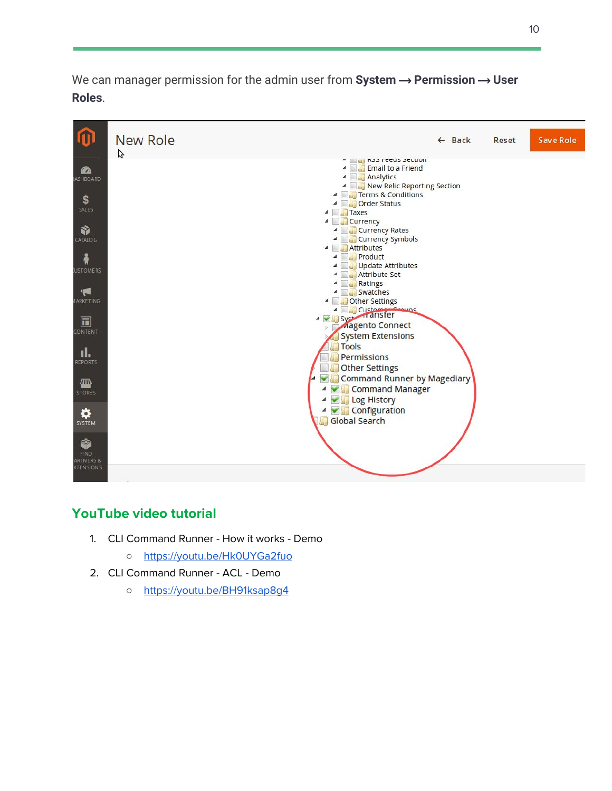We can manager permission for the admin user from System → Permission → User **Roles**.



#### <span id="page-9-0"></span>**YouTube video tutorial**

- 1. CLI Command Runner How it works Demo
	- <https://youtu.be/Hk0UYGa2fuo>
- <span id="page-9-1"></span>2. CLI Command Runner - ACL - Demo
	- <https://youtu.be/BH91ksap8g4>